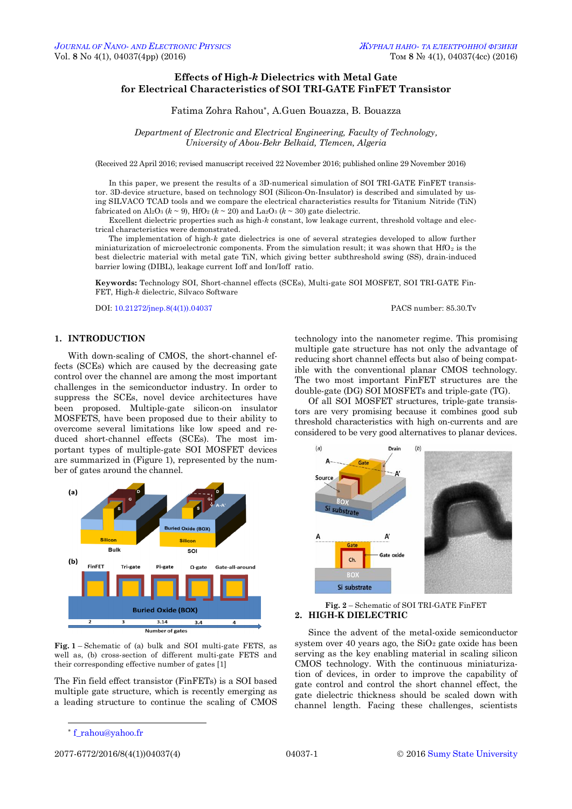# **Effects of High-***k* **Dielectrics with Metal Gate for Electrical Characteristics of SOI TRI-GATE FinFET Transistor**

Fatima Zohra Rahou\*, A.Guen Bouazza, B. Bouazza

*Department of Electronic and Electrical Engineering, Faculty of Technology, University of Abou-Bekr Belkaid, Tlemcen, Algeria*

(Received 22 April 2016; revised manuscript received 22 November 2016; published online 29 November 2016)

In this paper, we present the results of a 3D-numerical simulation of SOI TRI-GATE FinFET transistor. 3D-device structure, based on technology SOI (Silicon-On-Insulator) is described and simulated by using SILVACO TCAD tools and we compare the electrical characteristics results for Titanium Nitride (TiN) fabricated on  $\text{Al}_2\text{O}_3$  ( $k \sim 9$ ), HfO<sub>2</sub> ( $k \sim 20$ ) and La<sub>2</sub>O<sub>3</sub> ( $k \sim 30$ ) gate dielectric.

Excellent dielectric properties such as high-*k* constant, low leakage current, threshold voltage and electrical characteristics were demonstrated.

The implementation of high-*k* gate dielectrics is one of several strategies developed to allow further miniaturization of microelectronic components. From the simulation result; it was shown that  $HfO<sub>2</sub>$  is the best dielectric material with metal gate TiN, which giving better subthreshold swing (SS), drain-induced barrier lowing (DIBL), leakage current Ioff and Ion/Ioff ratio.

**Keywords:** Technology SOI, Short-channel effects (SCEs), Multi-gate SOI MOSFET, SOI TRI-GATE Fin-FET, High-*k* dielectric, Silvaco Software

DOI: [10.21272/jnep.8\(4\(1\)\).04037](http://dx.doi.org/10.21272/jnep.8(4(1)).04037) PACS number: 85.30.Tv

## **1. INTRODUCTION**

With down-scaling of CMOS, the short-channel effects (SCEs) which are caused by the decreasing gate control over the channel are among the most important challenges in the semiconductor industry. In order to suppress the SCEs, novel device architectures have been proposed. Multiple-gate silicon-on insulator MOSFETS, have been proposed due to their ability to overcome several limitations like low speed and reduced short-channel effects (SCEs). The most important types of multiple-gate SOI MOSFET devices are summarized in (Figure 1), represented by the number of gates around the channel.



**Fig. 1** – Schematic of (a) bulk and SOI multi-gate FETS, as well as, (b) cross-section of different multi-gate FETS and their corresponding effective number of gates [1]

The Fin field effect transistor (FinFETs) is a SOI based multiple gate structure, which is recently emerging as a leading structure to continue the scaling of CMOS

Of all SOI MOSFET structures, triple-gate transistors are very promising because it combines good sub threshold characteristics with high on-currents and are considered to be very good alternatives to planar devices.



# **Fig. 2** – Schematic of SOI TRI-GATE FinFET **2. HIGH-K DIELECTRIC**

Since the advent of the metal-oxide semiconductor system over 40 years ago, the  $SiO<sub>2</sub>$  gate oxide has been serving as the key enabling material in scaling silicon CMOS technology. With the continuous miniaturization of devices, in order to improve the capability of gate control and control the short channel effect, the gate dielectric thickness should be scaled down with channel length. Facing these challenges, scientists

-

2077-6772/2016/8(4(1))04037(4) [04037-](#page-0-2)1 © [2016](#page-0-3) [Sumy State University](http://sumdu.edu.ua/)

technology into the nanometer regime. This promising multiple gate structure has not only the advantage of reducing short channel effects but also of being compatible with the conventional planar CMOS technology. The two most important FinFET structures are the double-gate (DG) SOI MOSFETs and triple-gate (TG).

<span id="page-0-3"></span><span id="page-0-2"></span><span id="page-0-1"></span><span id="page-0-0"></span><sup>\*</sup> [f\\_rahou@yahoo.fr](mailto:f_rahou@yahoo.fr)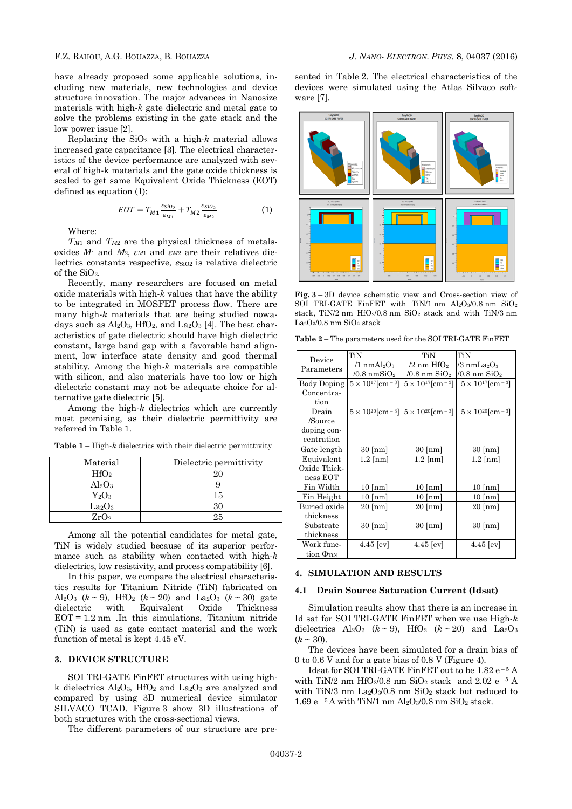have already proposed some applicable solutions, including new materials, new technologies and device structure innovation. The major advances in Nanosize materials with high-*k* gate dielectric and metal gate to solve the problems existing in the gate stack and the low power issue [2].

Replacing the  $SiO<sub>2</sub>$  with a high- $k$  material allows increased gate capacitance [3]. The electrical characteristics of the device performance are analyzed with several of high-k materials and the gate oxide thickness is scaled to get same Equivalent Oxide Thickness (EOT) defined as equation (1):

$$
EOT = T_{M1} \frac{\varepsilon_{SiO_2}}{\varepsilon_{M1}} + T_{M2} \frac{\varepsilon_{SiO_2}}{\varepsilon_{M2}} \tag{1}
$$

Where:

*TM*<sup>1</sup> and *TM*<sup>2</sup> are the physical thickness of metalsoxides  $M_1$  and  $M_2$ ,  $\varepsilon_{M1}$  and  $\varepsilon_{M2}$  are their relatives dielectrics constants respective,  $\varepsilon$ <sub>SiO2</sub> is relative dielectric of the  $SiO<sub>2</sub>$ .

Recently, many researchers are focused on metal oxide materials with high-*k* values that have the ability to be integrated in MOSFET process flow. There are many high-*k* materials that are being studied nowadays such as  $\text{Al}_2\text{O}_3$ , HfO<sub>2</sub>, and La<sub>2</sub>O<sub>3</sub> [4]. The best characteristics of gate dielectric should have high dielectric constant, large band gap with a favorable band alignment, low interface state density and good thermal stability. Among the high-*k* materials are compatible with silicon, and also materials have too low or high dielectric constant may not be adequate choice for alternative gate dielectric [5].

Among the high-*k* dielectrics which are currently most promising, as their dielectric permittivity are referred in Table 1.

| Material         | Dielectric permittivity |  |
|------------------|-------------------------|--|
| HfO <sub>2</sub> | 20                      |  |
| $\rm Al_2O_3$    |                         |  |
| $\rm Y_{2}O_{3}$ | 15                      |  |
| $\rm La_2O_3$    | 30                      |  |
| ZrO <sub>2</sub> | 2.5                     |  |

**Table 1** – High-*k* dielectrics with their dielectric permittivity

Among all the potential candidates for metal gate, TiN is widely studied because of its superior performance such as stability when contacted with high-*k* dielectrics, low resistivity, and process compatibility [6].

In this paper, we compare the electrical characteristics results for Titanium Nitride (TiN) fabricated on Al<sub>2</sub>O<sub>3</sub> ( $k \sim 9$ ), HfO<sub>2</sub> ( $k \sim 20$ ) and La<sub>2</sub>O<sub>3</sub> ( $k \sim 30$ ) gate dielectric with Equivalent Oxide Thickness  $EOT = 1.2$  nm . In this simulations, Titanium nitride (TiN) is used as gate contact material and the work function of metal is kept 4.45 eV.

#### **3. DEVICE STRUCTURE**

SOI TRI-GATE FinFET structures with using highk dielectrics  $Al_2O_3$ , HfO<sub>2</sub> and La<sub>2</sub>O<sub>3</sub> are analyzed and compared by using 3D numerical device simulator SILVACO TCAD. Figure 3 show 3D illustrations of both structures with the cross-sectional views.

The different parameters of our structure are pre-

sented in Table 2. The electrical characteristics of the devices were simulated using the Atlas Silvaco software [7].



**Fig. 3** – 3D device schematic view and Cross-section view of SOI TRI-GATE FinFET with TiN/1 nm  $Al_2O_3/0.8$  nm  $SiO_2$ stack, TiN/2 nm HfO<sub>2</sub>/0.8 nm SiO<sub>2</sub> stack and with TiN/3 nm La2O3/0.8 nm SiO<sup>2</sup> stack

| <b>Table 2</b> – The parameters used for the SOI TRI-GATE FinFET |  |
|------------------------------------------------------------------|--|
|------------------------------------------------------------------|--|

| Device                         | TiN                                   | TiN                         | TiN                         |
|--------------------------------|---------------------------------------|-----------------------------|-----------------------------|
| Parameters                     | $/1$ nmAl <sub>2</sub> O <sub>3</sub> | /2 nm $\rm{HfO_2}$          | /3 nmLa $_{2}{\rm O}_{3}$   |
|                                | /0.8 nm $\rm SiO_2$                   | /0.8 nm $\rm SiO_2$         | /0.8 nm $\rm SiO_2$         |
| <b>Body Doping</b>             | $5 \times 10^{17}$ [cm - 3]           | $5 \times 10^{17}$ [cm - 3] | $5 \times 10^{17}$ [cm - 3] |
| Concentra-                     |                                       |                             |                             |
| tion                           |                                       |                             |                             |
| Drain                          | $5 \times 10^{20}$ [cm - 3]           | $5 \times 10^{20}$ [cm - 3] | $5 \times 10^{20}$ [cm - 3] |
| /Source                        |                                       |                             |                             |
| doping con-                    |                                       |                             |                             |
| centration                     |                                       |                             |                             |
| Gate length                    | $30$ [nm]                             | $30 \text{ [nm]}$           | $30 \text{ [nm]}$           |
| Equivalent                     | $1.2$ [nm]                            | $1.2$ [nm]                  | $1.2$ [nm]                  |
| Oxide Thick-                   |                                       |                             |                             |
| ness EOT                       |                                       |                             |                             |
| Fin Width                      | $10$ [nm]                             | $10$ [nm]                   | $10$ [nm]                   |
| Fin Height                     | $10$ [nm]                             | $10$ [nm]                   | $10$ [nm]                   |
| Buried oxide                   | $20$ [nm]                             | $20$ [nm]                   | $20$ [nm]                   |
| thickness                      |                                       |                             |                             |
| Substrate                      | $30 \text{ [nm]}$                     | $30 \text{ [nm]}$           | $30 \text{ [nm]}$           |
| thickness                      |                                       |                             |                             |
| Work func-                     | $4.45$ [ev]                           | $4.45$ [ev]                 | $4.45$ [ev]                 |
| tion $\Phi_{\text{\tiny TiN}}$ |                                       |                             |                             |

## **4. SIMULATION AND RESULTS**

#### **4.1 Drain Source Saturation Current (Idsat)**

Simulation results show that there is an increase in Id sat for SOI TRI-GATE FinFET when we use High-*k* dielectrics  $Al_2O_3$  ( $k \sim 9$ ), HfO<sub>2</sub> ( $k \sim 20$ ) and La<sub>2</sub>O<sub>3</sub>  $(k \sim 30)$ .

The devices have been simulated for a drain bias of 0 to 0.6 V and for a gate bias of 0.8 V (Figure 4).

Idsat for SOI TRI-GATE FinFET out to be 1.82 e<sup>-5</sup> A with TiN/2 nm HfO<sub>2</sub>/0.8 nm SiO<sub>2</sub> stack and 2.02 e<sup>-5</sup> A with TiN/3 nm La<sub>2</sub>O<sub>3</sub>/0.8 nm SiO<sub>2</sub> stack but reduced to 1.69 e<sup>-5</sup> A with TiN/1 nm Al<sub>2</sub>O<sub>3</sub>/0.8 nm SiO<sub>2</sub> stack.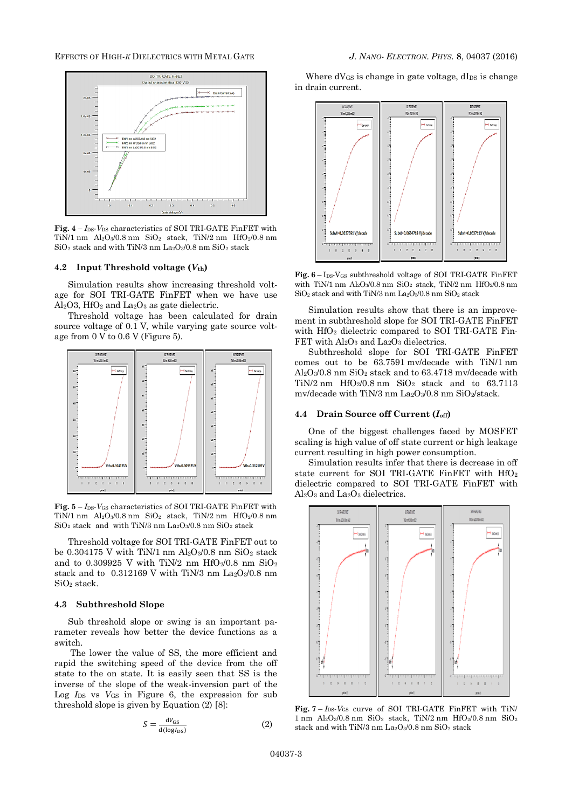## EFFECTS OF HIGH-*K* DIELECTRICS WITH METAL GATE *J. NANO- ELECTRON. PHYS.* **[8](#page-0-2)**, [04037](#page-0-2) (2016)



**Fig.** 4 – *I*<sub>DS</sub>-*V*<sub>DS</sub> characteristics of SOI TRI-GATE FinFET with TiN/1 nm  $Al_2O_3/0.8$  nm  $SiO_2$  stack, TiN/2 nm  $HfO_2/0.8$  nm SiO<sup>2</sup> stack and with TiN/3 nm La2O3/0.8 nm SiO<sup>2</sup> stack

## **4.2 Input Threshold voltage (***V***th)**

Simulation results show increasing threshold voltage for SOI TRI-GATE FinFET when we have use  $Al<sub>2</sub>O<sub>3</sub>$ , HfO<sub>2</sub> and La<sub>2</sub>O<sub>3</sub> as gate dielectric.

Threshold voltage has been calculated for drain source voltage of 0.1 V, while varying gate source voltage from 0 V to 0.6 V (Figure 5).



**Fig. 5** – *I*DS-*V*GS characteristics of SOI TRI-GATE FinFET with TiN/1 nm  $Al_2O_3/0.8$  nm  $SiO_2$  stack, TiN/2 nm  $HfO_2/0.8$  nm  $SiO<sub>2</sub> stack$  and with TiN/3 nm La<sub>2</sub>O<sub>3</sub>/0.8 nm  $SiO<sub>2</sub> stack$ 

Threshold voltage for SOI TRI-GATE FinFET out to be 0.304175 V with TiN/1 nm  $Al_2O_3/0.8$  nm  $SiO_2$  stack and to 0.309925 V with TiN/2 nm HfO2/0.8 nm SiO<sub>2</sub> stack and to 0.312169 V with TiN/3 nm La2O3/0.8 nm SiO<sup>2</sup> stack.

### **4.3 Subthreshold Slope**

Sub threshold slope or swing is an important parameter reveals how better the device functions as a switch.

The lower the value of SS, the more efficient and rapid the switching speed of the device from the off state to the on state. It is easily seen that SS is the inverse of the slope of the weak-inversion part of the Log *I*<sub>DS</sub> vs *V*<sub>GS</sub> in Figure 6, the expression for sub threshold slope is given by Equation (2) [8]:

$$
S = \frac{dV_{GS}}{d(\log I_{DS})}
$$
 (2)

Where dVGS is change in gate voltage, dIps is change in drain current.



**Fig. 6** – IDS-VGS subthreshold voltage of SOI TRI-GATE FinFET with TiN/1 nm Al<sub>2</sub>O<sub>3</sub>/0.8 nm SiO<sub>2</sub> stack, TiN/2 nm HfO<sub>2</sub>/0.8 nm  $\mathrm{SiO}_2$  stack and with TiN/3 nm La2O3/0.8 nm  $\mathrm{SiO}_2$  stack

Simulation results show that there is an improvement in subthreshold slope for SOI TRI-GATE FinFET with HfO<sup>2</sup> dielectric compared to SOI TRI-GATE Fin-FET with Al<sub>2</sub>O<sub>3</sub> and La<sub>2</sub>O<sub>3</sub> dielectrics.

Subthreshold slope for SOI TRI-GATE FinFET comes out to be 63.7591 mv/decade with TiN/1 nm  $Al_2O_3/0.8$  nm  $SiO_2$  stack and to 63.4718 mv/decade with TiN/2 nm  $HfO<sub>2</sub>/0.8$  nm  $SiO<sub>2</sub>$  stack and to 63.7113 mv/decade with TiN/3 nm La2O3/0.8 nm SiO2/stack.

### **4.4 Drain Source off Current (***I***off)**

One of the biggest challenges faced by MOSFET scaling is high value of off state current or high leakage current resulting in high power consumption.

Simulation results infer that there is decrease in off state current for SOI TRI-GATE FinFET with  $HfO<sub>2</sub>$ dielectric compared to SOI TRI-GATE FinFET with Al2O<sup>3</sup> and La2O<sup>3</sup> dielectrics.



**Fig. 7** – *I*DS-*V*GS curve of SOI TRI-GATE FinFET with TiN/  $1 \text{ nm}$  Al<sub>2</sub>O<sub>3</sub>/0.8 nm SiO<sub>2</sub> stack, TiN/2 nm HfO<sub>2</sub>/0.8 nm SiO<sub>2</sub> stack and with TiN/3 nm  $La_2O_3/0.8$  nm  $SiO_2$  stack